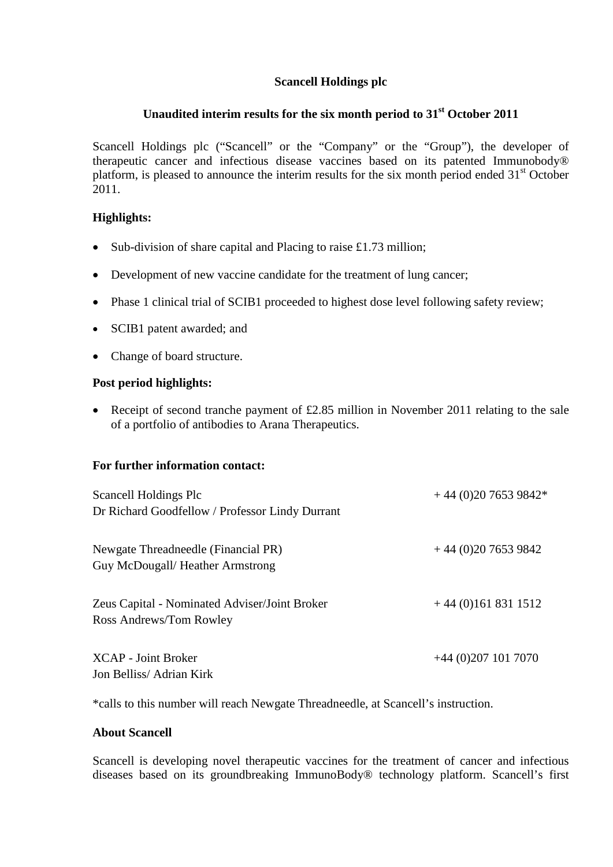# **Scancell Holdings plc**

# **Unaudited interim results for the six month period to 31st October 2011**

Scancell Holdings plc ("Scancell" or the "Company" or the "Group"), the developer of therapeutic cancer and infectious disease vaccines based on its patented Immunobody® platform, is pleased to announce the interim results for the six month period ended  $31<sup>st</sup>$  October 2011.

# **Highlights:**

- Sub-division of share capital and Placing to raise £1.73 million;
- Development of new vaccine candidate for the treatment of lung cancer;
- Phase 1 clinical trial of SCIB1 proceeded to highest dose level following safety review;
- SCIB1 patent awarded; and
- Change of board structure.

# **Post period highlights:**

• Receipt of second tranche payment of £2.85 million in November 2011 relating to the sale of a portfolio of antibodies to Arana Therapeutics.

# **For further information contact:**

| Scancell Holdings Plc<br>Dr Richard Goodfellow / Professor Lindy Durrant | $+44(0)2076539842*$   |
|--------------------------------------------------------------------------|-----------------------|
| Newgate Threadneedle (Financial PR)<br>Guy McDougall/ Heather Armstrong  | $+44(0)2076539842$    |
| Zeus Capital - Nominated Adviser/Joint Broker<br>Ross Andrews/Tom Rowley | $+44(0)1618311512$    |
| <b>XCAP</b> - Joint Broker<br>Jon Belliss/Adrian Kirk                    | $+44$ (0)207 101 7070 |

\*calls to this number will reach Newgate Threadneedle, at Scancell's instruction.

# **About Scancell**

Scancell is developing novel therapeutic vaccines for the treatment of cancer and infectious diseases based on its groundbreaking ImmunoBody® technology platform. Scancell's first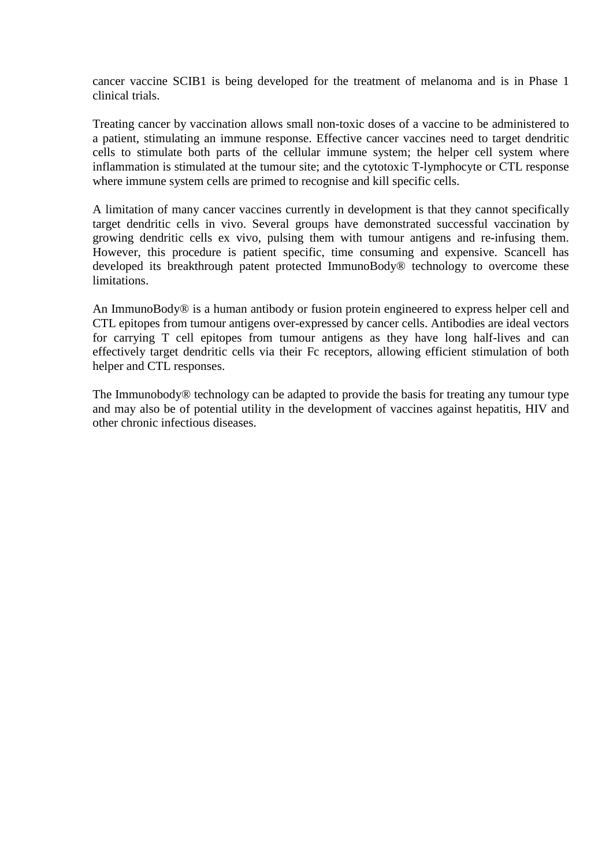cancer vaccine SCIB1 is being developed for the treatment of melanoma and is in Phase 1 clinical trials.

Treating cancer by vaccination allows small non-toxic doses of a vaccine to be administered to a patient, stimulating an immune response. Effective cancer vaccines need to target dendritic cells to stimulate both parts of the cellular immune system; the helper cell system where inflammation is stimulated at the tumour site; and the cytotoxic T-lymphocyte or CTL response where immune system cells are primed to recognise and kill specific cells.

A limitation of many cancer vaccines currently in development is that they cannot specifically target dendritic cells in vivo. Several groups have demonstrated successful vaccination by growing dendritic cells ex vivo, pulsing them with tumour antigens and re-infusing them. However, this procedure is patient specific, time consuming and expensive. Scancell has developed its breakthrough patent protected ImmunoBody® technology to overcome these limitations.

An ImmunoBody® is a human antibody or fusion protein engineered to express helper cell and CTL epitopes from tumour antigens over-expressed by cancer cells. Antibodies are ideal vectors for carrying T cell epitopes from tumour antigens as they have long half-lives and can effectively target dendritic cells via their Fc receptors, allowing efficient stimulation of both helper and CTL responses.

The Immunobody® technology can be adapted to provide the basis for treating any tumour type and may also be of potential utility in the development of vaccines against hepatitis, HIV and other chronic infectious diseases.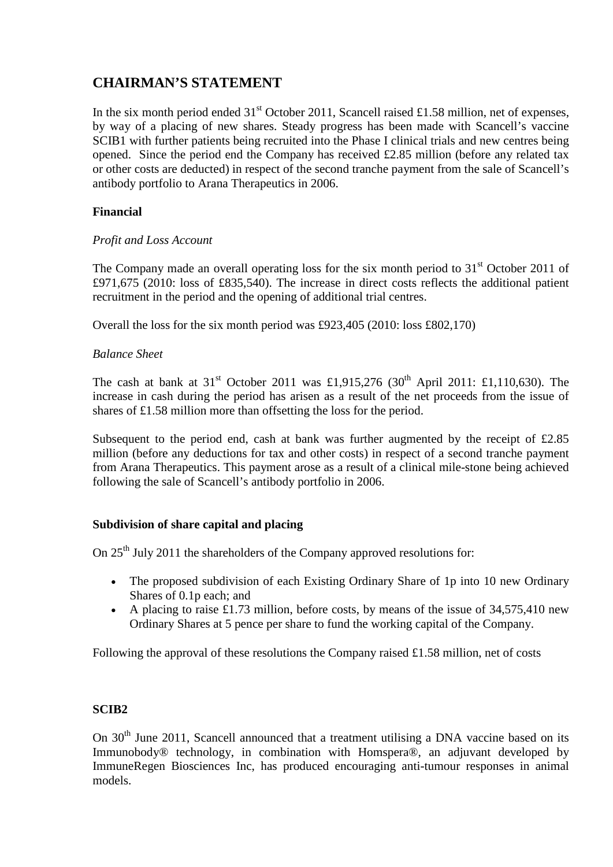# **CHAIRMAN'S STATEMENT**

In the six month period ended  $31<sup>st</sup>$  October 2011, Scancell raised £1.58 million, net of expenses, by way of a placing of new shares. Steady progress has been made with Scancell's vaccine SCIB1 with further patients being recruited into the Phase I clinical trials and new centres being opened. Since the period end the Company has received £2.85 million (before any related tax or other costs are deducted) in respect of the second tranche payment from the sale of Scancell's antibody portfolio to Arana Therapeutics in 2006.

# **Financial**

### *Profit and Loss Account*

The Company made an overall operating loss for the six month period to  $31<sup>st</sup>$  October 2011 of £971,675 (2010: loss of £835,540). The increase in direct costs reflects the additional patient recruitment in the period and the opening of additional trial centres.

Overall the loss for the six month period was £923,405 (2010: loss £802,170)

### *Balance Sheet*

The cash at bank at  $31^{st}$  October 2011 was £1,915,276 (30<sup>th</sup> April 2011: £1,110,630). The increase in cash during the period has arisen as a result of the net proceeds from the issue of shares of £1.58 million more than offsetting the loss for the period.

Subsequent to the period end, cash at bank was further augmented by the receipt of  $\text{\pounds}2.85$ million (before any deductions for tax and other costs) in respect of a second tranche payment from Arana Therapeutics. This payment arose as a result of a clinical mile-stone being achieved following the sale of Scancell's antibody portfolio in 2006.

# **Subdivision of share capital and placing**

On 25<sup>th</sup> July 2011 the shareholders of the Company approved resolutions for:

- The proposed subdivision of each Existing Ordinary Share of 1p into 10 new Ordinary Shares of 0.1p each; and
- A placing to raise £1.73 million, before costs, by means of the issue of 34,575,410 new Ordinary Shares at 5 pence per share to fund the working capital of the Company.

Following the approval of these resolutions the Company raised £1.58 million, net of costs

### **SCIB2**

On  $30<sup>th</sup>$  June 2011, Scancell announced that a treatment utilising a DNA vaccine based on its Immunobody® technology, in combination with Homspera®, an adjuvant developed by ImmuneRegen Biosciences Inc, has produced encouraging anti-tumour responses in animal models.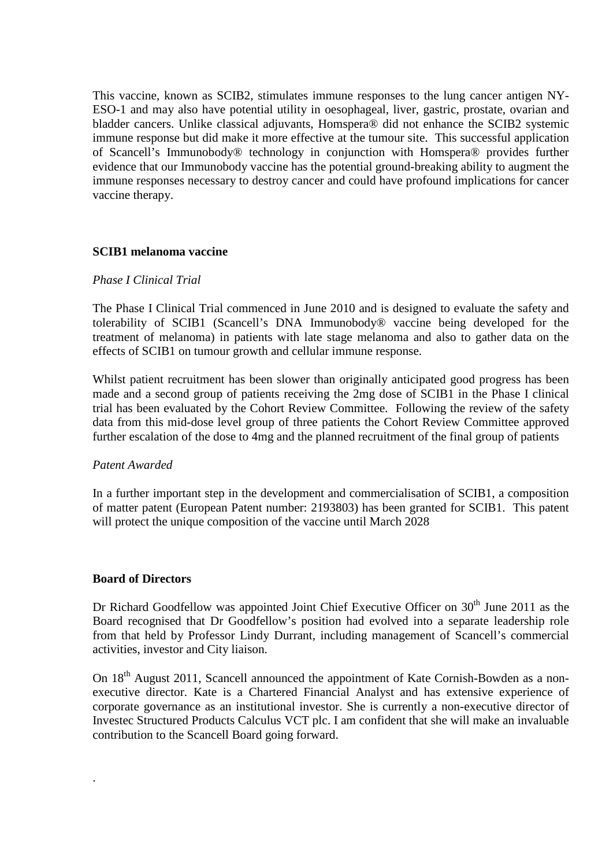This vaccine, known as SCIB2, stimulates immune responses to the lung cancer antigen NY-ESO-1 and may also have potential utility in oesophageal, liver, gastric, prostate, ovarian and bladder cancers. Unlike classical adjuvants, Homspera® did not enhance the SCIB2 systemic immune response but did make it more effective at the tumour site. This successful application of Scancell's Immunobody® technology in conjunction with Homspera® provides further evidence that our Immunobody vaccine has the potential ground-breaking ability to augment the immune responses necessary to destroy cancer and could have profound implications for cancer vaccine therapy.

### **SCIB1 melanoma vaccine**

#### *Phase I Clinical Trial*

The Phase I Clinical Trial commenced in June 2010 and is designed to evaluate the safety and tolerability of SCIB1 (Scancell's DNA Immunobody® vaccine being developed for the treatment of melanoma) in patients with late stage melanoma and also to gather data on the effects of SCIB1 on tumour growth and cellular immune response.

Whilst patient recruitment has been slower than originally anticipated good progress has been made and a second group of patients receiving the 2mg dose of SCIB1 in the Phase I clinical trial has been evaluated by the Cohort Review Committee. Following the review of the safety data from this mid-dose level group of three patients the Cohort Review Committee approved further escalation of the dose to 4mg and the planned recruitment of the final group of patients

#### *Patent Awarded*

In a further important step in the development and commercialisation of SCIB1, a composition of matter patent (European Patent number: 2193803) has been granted for SCIB1. This patent will protect the unique composition of the vaccine until March 2028

#### **Board of Directors**

.

Dr Richard Goodfellow was appointed Joint Chief Executive Officer on  $30<sup>th</sup>$  June 2011 as the Board recognised that Dr Goodfellow's position had evolved into a separate leadership role from that held by Professor Lindy Durrant, including management of Scancell's commercial activities, investor and City liaison.

On 18<sup>th</sup> August 2011, Scancell announced the appointment of Kate Cornish-Bowden as a nonexecutive director. Kate is a Chartered Financial Analyst and has extensive experience of corporate governance as an institutional investor. She is currently a non-executive director of Investec Structured Products Calculus VCT plc. I am confident that she will make an invaluable contribution to the Scancell Board going forward.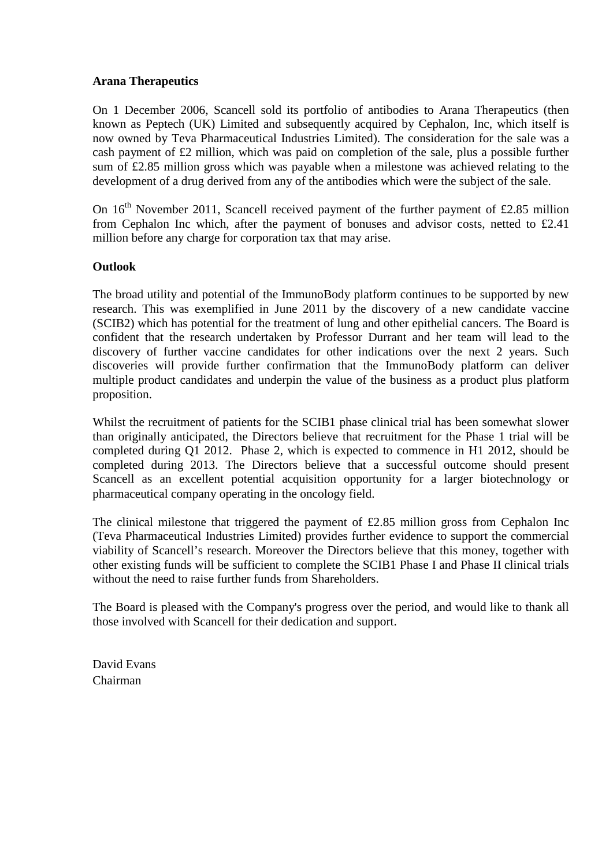### **Arana Therapeutics**

On 1 December 2006, Scancell sold its portfolio of antibodies to Arana Therapeutics (then known as Peptech (UK) Limited and subsequently acquired by Cephalon, Inc, which itself is now owned by Teva Pharmaceutical Industries Limited). The consideration for the sale was a cash payment of £2 million, which was paid on completion of the sale, plus a possible further sum of £2.85 million gross which was payable when a milestone was achieved relating to the development of a drug derived from any of the antibodies which were the subject of the sale.

On  $16<sup>th</sup>$  November 2011, Scancell received payment of the further payment of £2.85 million from Cephalon Inc which, after the payment of bonuses and advisor costs, netted to £2.41 million before any charge for corporation tax that may arise.

### **Outlook**

The broad utility and potential of the ImmunoBody platform continues to be supported by new research. This was exemplified in June 2011 by the discovery of a new candidate vaccine (SCIB2) which has potential for the treatment of lung and other epithelial cancers. The Board is confident that the research undertaken by Professor Durrant and her team will lead to the discovery of further vaccine candidates for other indications over the next 2 years. Such discoveries will provide further confirmation that the ImmunoBody platform can deliver multiple product candidates and underpin the value of the business as a product plus platform proposition.

Whilst the recruitment of patients for the SCIB1 phase clinical trial has been somewhat slower than originally anticipated, the Directors believe that recruitment for the Phase 1 trial will be completed during Q1 2012. Phase 2, which is expected to commence in H1 2012, should be completed during 2013. The Directors believe that a successful outcome should present Scancell as an excellent potential acquisition opportunity for a larger biotechnology or pharmaceutical company operating in the oncology field.

The clinical milestone that triggered the payment of  $\text{\pounds}2.85$  million gross from Cephalon Inc (Teva Pharmaceutical Industries Limited) provides further evidence to support the commercial viability of Scancell's research. Moreover the Directors believe that this money, together with other existing funds will be sufficient to complete the SCIB1 Phase I and Phase II clinical trials without the need to raise further funds from Shareholders.

The Board is pleased with the Company's progress over the period, and would like to thank all those involved with Scancell for their dedication and support.

David Evans Chairman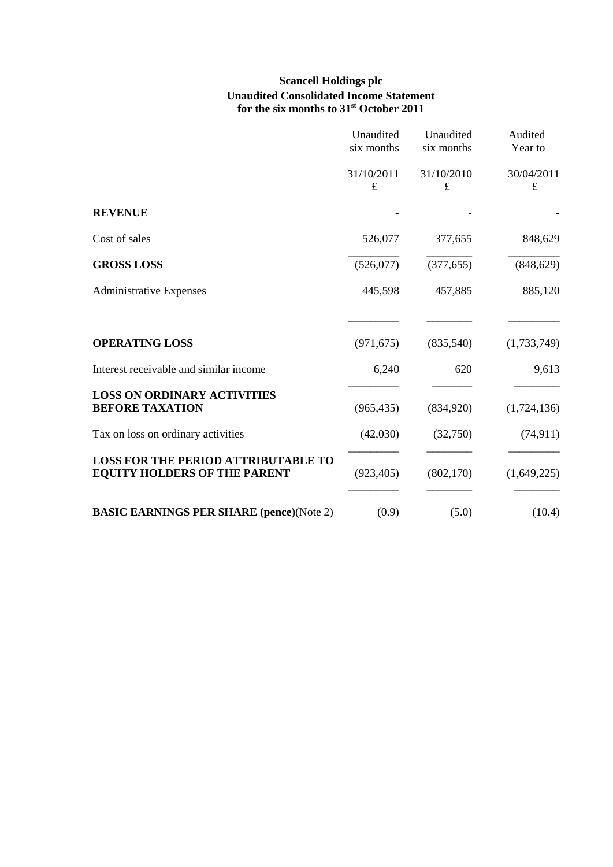# **Scancell Holdings plc Unaudited Consolidated Income Statement for the six months to 31st October 2011**

|                                                                                   | Unaudited<br>six months | Unaudited<br>six months | Audited<br>Year to      |
|-----------------------------------------------------------------------------------|-------------------------|-------------------------|-------------------------|
|                                                                                   | 31/10/2011<br>£         | 31/10/2010<br>$\pounds$ | 30/04/2011<br>$\pounds$ |
| <b>REVENUE</b>                                                                    |                         |                         |                         |
| Cost of sales                                                                     | 526,077                 | 377,655                 | 848,629                 |
| <b>GROSS LOSS</b>                                                                 | (526,077)               | (377, 655)              | (848, 629)              |
| <b>Administrative Expenses</b>                                                    | 445,598                 | 457,885                 | 885,120                 |
| <b>OPERATING LOSS</b>                                                             | (971, 675)              | (835,540)               | (1,733,749)             |
| Interest receivable and similar income                                            | 6,240                   | 620                     | 9,613                   |
| <b>LOSS ON ORDINARY ACTIVITIES</b><br><b>BEFORE TAXATION</b>                      | (965, 435)              | (834,920)               | (1,724,136)             |
| Tax on loss on ordinary activities                                                | (42,030)                | (32,750)                | (74, 911)               |
| <b>LOSS FOR THE PERIOD ATTRIBUTABLE TO</b><br><b>EQUITY HOLDERS OF THE PARENT</b> | (923, 405)              | (802, 170)              | (1,649,225)             |
| <b>BASIC EARNINGS PER SHARE (pence)(Note 2)</b>                                   | (0.9)                   | (5.0)                   | (10.4)                  |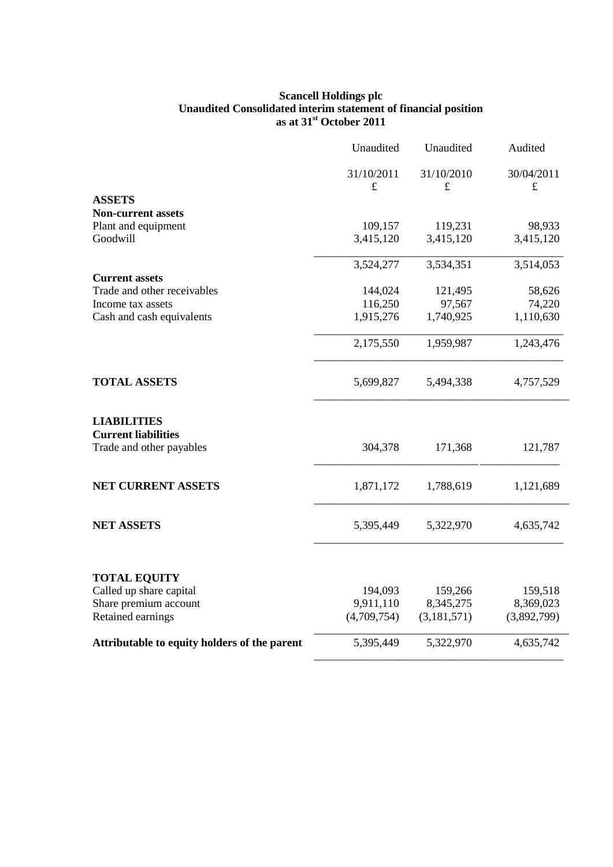#### **Scancell Holdings plc Unaudited Consolidated interim statement of financial position as at 31st October 2011**

|                                                  | Unaudited               | Unaudited                 | Audited                 |
|--------------------------------------------------|-------------------------|---------------------------|-------------------------|
|                                                  | 31/10/2011<br>$\pounds$ | 31/10/2010<br>$\mathbf f$ | 30/04/2011<br>$\pounds$ |
| <b>ASSETS</b>                                    |                         |                           |                         |
| <b>Non-current assets</b>                        |                         |                           |                         |
| Plant and equipment                              | 109,157                 | 119,231                   | 98,933                  |
| Goodwill                                         | 3,415,120               | 3,415,120                 | 3,415,120               |
|                                                  | 3,524,277               | 3,534,351                 | 3,514,053               |
| <b>Current assets</b>                            |                         |                           |                         |
| Trade and other receivables                      | 144,024                 | 121,495                   | 58,626                  |
| Income tax assets                                | 116,250                 | 97,567                    | 74,220                  |
| Cash and cash equivalents                        | 1,915,276               | 1,740,925                 | 1,110,630               |
|                                                  | 2,175,550               | 1,959,987                 | 1,243,476               |
| <b>TOTAL ASSETS</b>                              | 5,699,827               | 5,494,338                 | 4,757,529               |
| <b>LIABILITIES</b><br><b>Current liabilities</b> |                         |                           |                         |
| Trade and other payables                         | 304,378                 | 171,368                   | 121,787                 |
| <b>NET CURRENT ASSETS</b>                        | 1,871,172               | 1,788,619                 | 1,121,689               |
| <b>NET ASSETS</b>                                | 5,395,449               | 5,322,970                 | 4,635,742               |
| <b>TOTAL EQUITY</b>                              |                         |                           |                         |
| Called up share capital                          | 194,093                 | 159,266                   | 159,518                 |
| Share premium account                            | 9,911,110               | 8,345,275                 | 8,369,023               |
| Retained earnings                                | (4,709,754)             | (3,181,571)               | (3,892,799)             |
| Attributable to equity holders of the parent     | 5,395,449               | 5,322,970                 | 4,635,742               |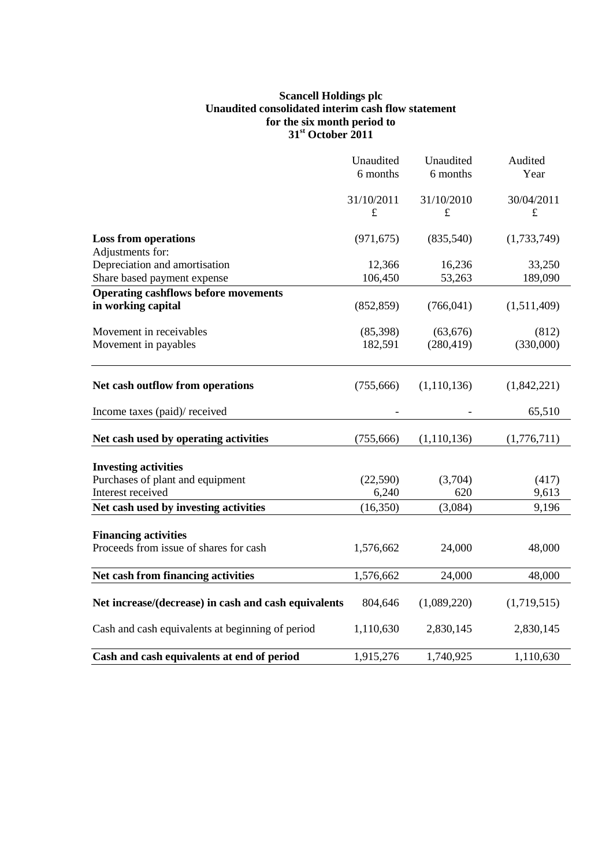#### **Scancell Holdings plc Unaudited consolidated interim cash flow statement for the six month period to 31st October 2011**

|                                                      | Unaudited  | Unaudited     | Audited     |
|------------------------------------------------------|------------|---------------|-------------|
|                                                      | 6 months   | 6 months      | Year        |
|                                                      | 31/10/2011 | 31/10/2010    | 30/04/2011  |
|                                                      | $\pounds$  | $\pounds$     | $\pounds$   |
| <b>Loss from operations</b>                          | (971, 675) | (835,540)     | (1,733,749) |
| Adjustments for:                                     |            |               |             |
| Depreciation and amortisation                        | 12,366     | 16,236        | 33,250      |
| Share based payment expense                          | 106,450    | 53,263        | 189,090     |
| <b>Operating cashflows before movements</b>          |            |               |             |
| in working capital                                   | (852, 859) | (766, 041)    | (1,511,409) |
| Movement in receivables                              | (85,398)   | (63, 676)     | (812)       |
| Movement in payables                                 | 182,591    | (280, 419)    | (330,000)   |
| Net cash outflow from operations                     | (755, 666) | (1,110,136)   | (1,842,221) |
| Income taxes (paid)/ received                        |            |               | 65,510      |
| Net cash used by operating activities                | (755,666)  | (1, 110, 136) | (1,776,711) |
| <b>Investing activities</b>                          |            |               |             |
| Purchases of plant and equipment                     | (22, 590)  | (3,704)       | (417)       |
| Interest received                                    | 6,240      | 620           | 9,613       |
| Net cash used by investing activities                | (16,350)   | (3,084)       | 9,196       |
| <b>Financing activities</b>                          |            |               |             |
| Proceeds from issue of shares for cash               | 1,576,662  | 24,000        | 48,000      |
| Net cash from financing activities                   | 1,576,662  | 24,000        | 48,000      |
| Net increase/(decrease) in cash and cash equivalents | 804,646    | (1,089,220)   | (1,719,515) |
| Cash and cash equivalents at beginning of period     | 1,110,630  | 2,830,145     | 2,830,145   |
| Cash and cash equivalents at end of period           | 1,915,276  | 1,740,925     | 1,110,630   |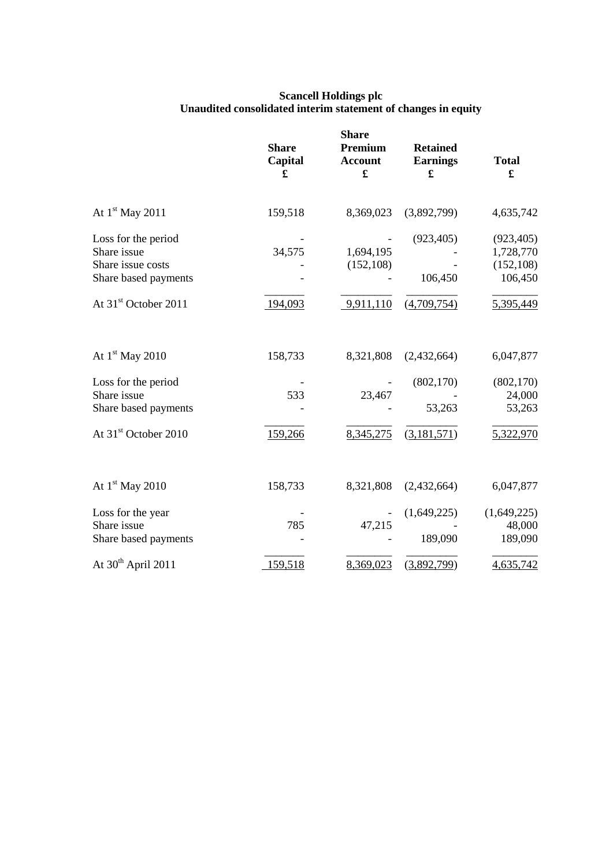| <b>Scancell Holdings plc</b>                                  |  |
|---------------------------------------------------------------|--|
| Unaudited consolidated interim statement of changes in equity |  |

|                                                                                 | <b>Share</b><br>Capital<br>£ | <b>Share</b><br>Premium<br><b>Account</b><br>£ | <b>Retained</b><br><b>Earnings</b><br>£ | <b>Total</b><br>£                                |
|---------------------------------------------------------------------------------|------------------------------|------------------------------------------------|-----------------------------------------|--------------------------------------------------|
| At $1st$ May 2011                                                               | 159,518                      | 8,369,023                                      | (3,892,799)                             | 4,635,742                                        |
| Loss for the period<br>Share issue<br>Share issue costs<br>Share based payments | 34,575                       | 1,694,195<br>(152, 108)                        | (923, 405)<br>106,450                   | (923, 405)<br>1,728,770<br>(152, 108)<br>106,450 |
| At 31 <sup>st</sup> October 2011                                                | 194,093                      | 9,911,110                                      | (4,709,754)                             | 5,395,449                                        |
| At $1st$ May 2010                                                               | 158,733                      | 8,321,808                                      | (2,432,664)                             | 6,047,877                                        |
| Loss for the period<br>Share issue<br>Share based payments                      | 533                          | 23,467                                         | (802, 170)<br>53,263                    | (802, 170)<br>24,000<br>53,263                   |
| At 31st October 2010                                                            | 159,266                      | 8,345,275                                      | (3,181,571)                             | 5,322,970                                        |
| At $1st$ May 2010                                                               | 158,733                      | 8,321,808                                      | (2,432,664)                             | 6,047,877                                        |
| Loss for the year<br>Share issue<br>Share based payments                        | 785                          | 47,215                                         | (1,649,225)<br>189,090                  | (1,649,225)<br>48,000<br>189,090                 |
| At 30 <sup>th</sup> April 2011                                                  | 159,518                      | 8,369,023                                      | (3,892,799)                             | 4,635,742                                        |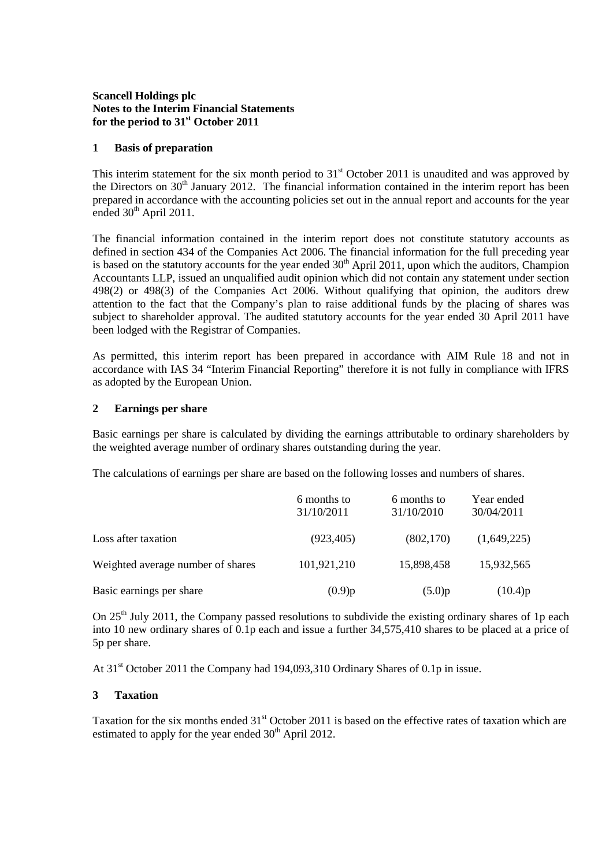#### **Scancell Holdings plc Notes to the Interim Financial Statements for the period to 31st October 2011**

#### **1 Basis of preparation**

This interim statement for the six month period to  $31<sup>st</sup>$  October 2011 is unaudited and was approved by the Directors on  $30<sup>th</sup>$  January 2012. The financial information contained in the interim report has been prepared in accordance with the accounting policies set out in the annual report and accounts for the year ended 30<sup>th</sup> April 2011.

The financial information contained in the interim report does not constitute statutory accounts as defined in section 434 of the Companies Act 2006. The financial information for the full preceding year is based on the statutory accounts for the year ended  $30<sup>th</sup>$  April 2011, upon which the auditors, Champion Accountants LLP, issued an unqualified audit opinion which did not contain any statement under section 498(2) or 498(3) of the Companies Act 2006. Without qualifying that opinion, the auditors drew attention to the fact that the Company's plan to raise additional funds by the placing of shares was subject to shareholder approval. The audited statutory accounts for the year ended 30 April 2011 have been lodged with the Registrar of Companies.

As permitted, this interim report has been prepared in accordance with AIM Rule 18 and not in accordance with IAS 34 "Interim Financial Reporting" therefore it is not fully in compliance with IFRS as adopted by the European Union.

#### **2 Earnings per share**

Basic earnings per share is calculated by dividing the earnings attributable to ordinary shareholders by the weighted average number of ordinary shares outstanding during the year.

The calculations of earnings per share are based on the following losses and numbers of shares.

|                                   | 6 months to<br>31/10/2011 | 6 months to<br>31/10/2010 | Year ended<br>30/04/2011 |
|-----------------------------------|---------------------------|---------------------------|--------------------------|
| Loss after taxation               | (923, 405)                | (802, 170)                | (1,649,225)              |
| Weighted average number of shares | 101,921,210               | 15,898,458                | 15,932,565               |
| Basic earnings per share          | (0.9)p                    | (5.0)p                    | (10.4)p                  |

On  $25<sup>th</sup>$  July 2011, the Company passed resolutions to subdivide the existing ordinary shares of 1p each into 10 new ordinary shares of 0.1p each and issue a further 34,575,410 shares to be placed at a price of 5p per share.

At 31st October 2011 the Company had 194,093,310 Ordinary Shares of 0.1p in issue.

#### **3 Taxation**

Taxation for the six months ended 31<sup>st</sup> October 2011 is based on the effective rates of taxation which are estimated to apply for the year ended  $30<sup>th</sup>$  April 2012.